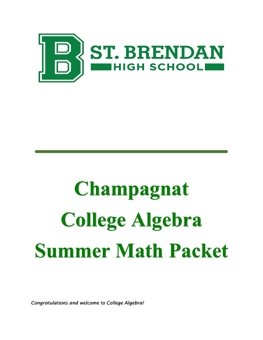

## **Champagnat College Algebra Summer Math Packet**

*Congratulations and welcome to College Algebra!*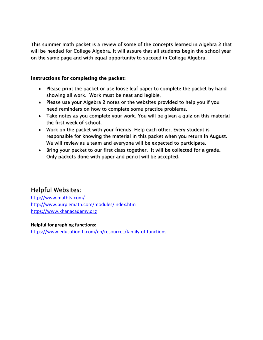This summer math packet is a review of some of the concepts learned in Algebra 2 that will be needed for College Algebra. It will assure that all students begin the school year on the same page and with equal opportunity to succeed in College Algebra.

## Instructions for completing the packet:

- Please print the packet or use loose leaf paper to complete the packet by hand showing all work. Work must be neat and legible.
- Please use your Algebra 2 notes or the websites provided to help you if you need reminders on how to complete some practice problems.
- Take notes as you complete your work. You will be given a quiz on this material the first week of school.
- Work on the packet with your friends. Help each other. Every student is responsible for knowing the material in this packet when you return in August. We will review as a team and everyone will be expected to participate.
- Bring your packet to our first class together. It will be collected for a grade. Only packets done with paper and pencil will be accepted.

## Helpful Websites:

[http://www.mathtv.com/](https://mathtv.com/) <http://www.purplemath.com/modules/index.htm> [https://www.khanacademy.org](https://www.khanacademy.org/)

## **Helpful for graphing functions:**

<https://www.education.ti.com/en/resources/family-of-functions>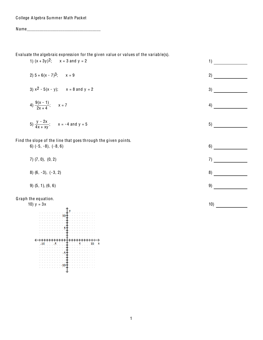College Algebra Summer Math Packet

Evaluate the algebraic expression for the given value or values of the variable(s).

1)  $(x + 3y)^2$ ;  $x = 3$  and  $y = 2$ 

2) 
$$
5 + 6(x - 7)^3
$$
;  $x = 9$ 

3) 
$$
x^2 - 5(x - y)
$$
;  $x = 8$  and  $y = 2$ 

4) 
$$
\frac{9(x-1)}{2x+4}
$$
;  $x = 7$ 

5) 
$$
\frac{y - 2x}{4x + xy}
$$
;  $x = -4$  and  $y = 5$ 

Find the slope of the line that goes through the given points.  $6)$   $(-5, -8)$ ,  $(-8, 6)$ 

 $7)$   $(7, 0)$ ,  $(0, 2)$ 

8)  $(6, -3), (-3, 2)$ 

$$
9) (5, 1), (6, 6)
$$

Graph the equation.



 $1)$  $2)$  $3)$ 4) 5)  $7)$  $10)$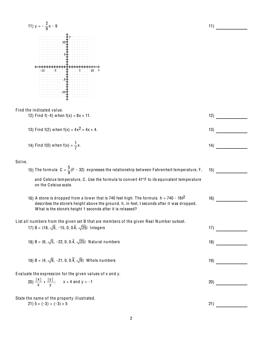11) 
$$
y = -\frac{2}{3}x - 9
$$
  
\n11)  $\frac{3}{10}$   
\n12)  $\frac{1}{3}$   
\n13)  $\frac{1}{10}$   
\n14)  $\frac{1}{10}$   
\n15) Find f(-4) when f(x) = 8x + 11.  
\n16) Find f(-4) when f(x) = 8x + 11.  
\n17) Find f(2) when f(x) = 4x<sup>2</sup> + 4x + 4.  
\n18) Find f(0) when f(x) =  $\frac{1}{7}$ x.  
\n19) The formula C =  $\frac{5}{9}$ (F - 32) expresses the relationship between Fahrenheit temperature, F, 15)  
\nand Celsius time, G. Use the formula to convert 41°F to its equivalent temperature  
\non the Celsius scale.  
\n16) A stone is dropped from a tower that is 740 feet high. The formula h = 740 - 161<sup>2</sup>  
\ndescribes the stone's height 1 above the ground, h, in feet, t seconds after it was dropped.  
\n111 numbers from the given set B that are members of the given Real Numbers subset.  
\n17) B = (18,  $\sqrt{5}$ , -15, 0, 0.5,  $\sqrt{25}$ ] Integers  
\n18) B = (6,  $\sqrt{5}$ , -22, 0, 0.4,  $\sqrt{5}$ ) When numbers  
\n19) B = (4,  $\sqrt{6}$ , -21, 0, 0.4,  $\sqrt{5}$ ) When numbers  
\nEvaluate the expression for the given values of x and y.  
\n20)  $\frac{|x|}{x} + \frac{|y|}{y}$ ; x = 4 and y = -1  
\nState the name of the property illustrated.  
\n21)

2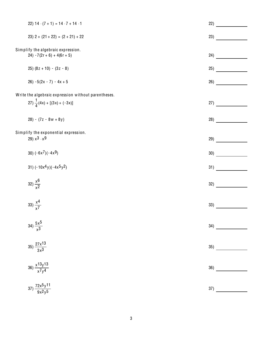| 22) $14 \cdot (7 + 1) = 14 \cdot 7 + 14 \cdot 1$                                              | 22) |  |
|-----------------------------------------------------------------------------------------------|-----|--|
| $23)$ 2 + $(21 + 22) = (2 + 21) + 22$                                                         | 23) |  |
| Simplify the algebraic expression.<br>$24) - 7(2r + 6) + 4(6r + 5)$                           | 24) |  |
| $(8z + 10) - (3z - 8)$                                                                        | 25) |  |
| $26) - 5(2x - 7) - 4x + 5$                                                                    | 26) |  |
| Write the algebraic expression without parentheses.<br>27) $\frac{1}{4}(4x) + [(3x) + (-3x)]$ | 27) |  |
| $(7z - 8w + 8y)$                                                                              | 28) |  |
| Simplify the exponential expression.<br>29) $x^3 \cdot x^9$                                   | 29) |  |
| 30) $(-6x^7)(-4x^9)$                                                                          | 30) |  |
| 31) $(-10x^4y)(-4x^5y^2)$                                                                     | 31) |  |
| 32) $\frac{x^{6}}{x^{2}}$                                                                     | 32) |  |
| 33) $\frac{x^4}{x^7}$                                                                         | 33) |  |
| 34) $\frac{5x^5}{x^3}$                                                                        | 34) |  |
| $35)\frac{27\times13}{3\times3}$                                                              | 35) |  |
| 36) $\frac{x^{13}y^{13}}{x^{7}y^{4}}$                                                         | 36) |  |
| 37) $\frac{72x^5y^{11}}{9x^2y^5}$                                                             | 37) |  |
|                                                                                               |     |  |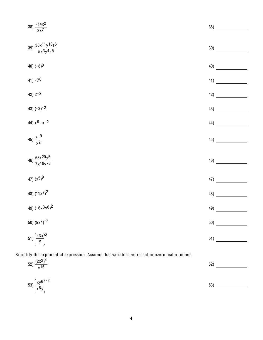| 38) $\frac{-14x^2}{2x^7}$                                                                  | 38) |
|--------------------------------------------------------------------------------------------|-----|
| $39) \, \frac{30x^{11}y^{10}z^{6}}{5x^3y^4z^5}$                                            | 39) |
| 40) $(-8)^0$                                                                               | 40) |
| $41) - 70$                                                                                 | 41) |
| 42) $2 - 3$                                                                                | 42) |
| 43) $(-3) - 2$                                                                             | 43) |
| 44) $x^6 \cdot x^{-2}$                                                                     | 44) |
| 45) $\frac{x-9}{x^2}$                                                                      | 45) |
| 46) $\frac{63x^{20}y^{5}}{7x^{19}y^{-3}}$                                                  | 46) |
| 47) $(x^5)^9$                                                                              | 47) |
| 48) $(11x^7)^2$                                                                            | 48) |
| 49) $(-6x^3y^6)^2$                                                                         | 49) |
| 50) $(5x^3)^{-2}$                                                                          | 50) |
| $51\left(\frac{-3x}{y}\right)^3$                                                           | 51) |
| Simplify the exponential expression. Assume that variables represent nonzero real numbers. |     |
| 52) $\frac{(2x^2)^3}{x^{15}}$                                                              | 52) |
| $(xy^6)^{-2}$                                                                              |     |

 $\frac{53}{x^{6}y}$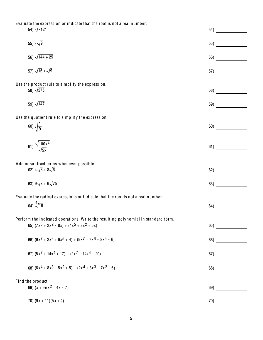Evaluate the expression or indicate that the root is not a real number.

|                   | 54) $\sqrt{-121}$                                                                                                                   | 54) |
|-------------------|-------------------------------------------------------------------------------------------------------------------------------------|-----|
|                   | 55) $-\sqrt{9}$                                                                                                                     | 55) |
|                   | 56) $\sqrt{144 + 25}$                                                                                                               | 56) |
|                   | 57) $\sqrt{16} + \sqrt{9}$                                                                                                          | 57) |
|                   | Use the product rule to simplify the expression.<br>58) $\sqrt{275}$                                                                |     |
|                   | 59) $\sqrt{147}$                                                                                                                    | 59) |
|                   | Use the quotient rule to simplify the expression.                                                                                   |     |
|                   | 60) $\sqrt{\frac{1}{9}}$                                                                                                            | 60) |
|                   | 61) $\frac{\sqrt{100x^4}}{\sqrt{5x}}$                                                                                               | 61) |
|                   | Add or subtract terms whenever possible.<br>62) $4\sqrt{6} + 8\sqrt{6}$                                                             | 62) |
|                   | 63) $9\sqrt{3} + 6\sqrt{75}$                                                                                                        | 63) |
|                   | Evaluate the radical expressions or indicate that the root is not a real number.                                                    |     |
|                   | 64) $\sqrt[4]{16}$                                                                                                                  | 64) |
|                   | Perform the indicated operations. Write the resulting polynomial in standard form.<br>65) $(7x^5 + 2x^2 - 8x) + (4x^5 + 3x^2 + 5x)$ | 65) |
|                   | 66) $(9x^{7} + 2x^{6} + 6x^{5} + 4) + (9x^{7} + 7x^{6} - 8x^{5} - 6)$                                                               | 66) |
|                   | 67) $(5x^7 + 14x^4 + 17) - (2x^7 - 14x^4 + 20)$                                                                                     | 67) |
|                   | 68) $(6x^4 + 8x^3 - 5x^2 + 5) - (2x^4 + 3x^3 - 7x^2 - 6)$                                                                           | 68) |
| Find the product. |                                                                                                                                     |     |
|                   | 69) $(x + 9)(x2 + 4x - 7)$                                                                                                          | 69) |
|                   | 70) $(9x + 11)(5x + 4)$                                                                                                             | 70) |
|                   |                                                                                                                                     |     |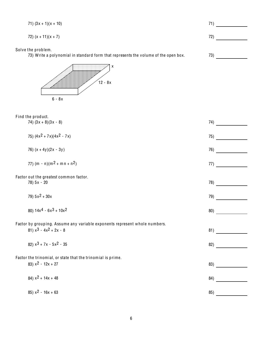| 71) $(3x + 1)(x + 10)$                                                                                         | 71) |
|----------------------------------------------------------------------------------------------------------------|-----|
| 72) $(x + 11)(x + 7)$                                                                                          | 72) |
| Solve the problem.<br>73) Write a polynomial in standard form that represents the volume of the open box.<br>χ | 73) |
| $12 - 8x$<br>$6 - 8x$                                                                                          |     |
| Find the product.<br>74) $(3x + 8)(3x - 8)$                                                                    | 74) |
| 75) $(4x^2 + 7x)(4x^2 - 7x)$                                                                                   | 75) |
| 76) $(x + 4y)(2x - 3y)$                                                                                        | 76) |
| 77) $(m - n)(m2 + mn + n2)$                                                                                    | 77) |
| Factor out the greatest common factor.<br>78) 5x - 20                                                          | 78) |
| 79) $5x^2 + 30x$                                                                                               | 79) |
| 80) $14x^4 - 6x^3 + 10x^2$                                                                                     | 80) |
| Factor by grouping. Assume any variable exponents represent whole numbers.<br>81) $x^3 - 4x^2 + 2x - 8$        | 81) |
| 82) $x^3 + 7x - 5x^2 - 35$                                                                                     | 82) |
| Factor the trinomial, or state that the trinomial is prime.<br>83) $x^2 - 12x + 27$                            | 83) |
| 84) $x^2$ + 14x + 48                                                                                           | 84) |
| 85) $x^2 - 16x + 63$                                                                                           | 85) |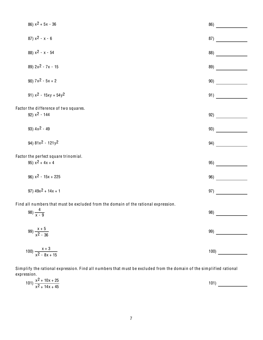| 86) $x^2$ + 5x - 36                                                                                         | 86)  |
|-------------------------------------------------------------------------------------------------------------|------|
| 87) $x^2 - x - 6$                                                                                           | 87)  |
| 88) $x^2 - x - 54$                                                                                          | 88)  |
| 89) $2x^2 - 7x - 15$                                                                                        | 89)  |
| 90) $7x^2 - 5x + 2$                                                                                         | 90)  |
| 91) $x^2 - 15xy + 54y^2$                                                                                    | 91)  |
| Factor the difference of two squares.<br>92) $x^2 - 144$                                                    | 92)  |
| 93) $4x^2 - 49$                                                                                             | 93)  |
| 94) $81x^2 - 121y^2$                                                                                        | 94)  |
| Factor the perfect square trinomial.<br>95) $x^2$ + 4x + 4                                                  | 95)  |
| 96) $x^2 - 15x + 225$                                                                                       | 96)  |
| 97) $49x^2 + 14x + 1$                                                                                       | 97)  |
| Find all numbers that must be excluded from the domain of the rational expression.<br>98) $\frac{4}{x - 9}$ |      |
| 99) $\frac{x+5}{x^2-36}$                                                                                    | 99)  |
| 100) $\frac{x+3}{x^2-8x+15}$                                                                                | 100) |

Simplify the rational expression. Find all numbers that must be excluded from the domain of the simplified rational expression.

| $x^2$ + 10x + 25<br>101)<br>$x^2$ + 14x + 45 | 101) |  |
|----------------------------------------------|------|--|
|                                              |      |  |